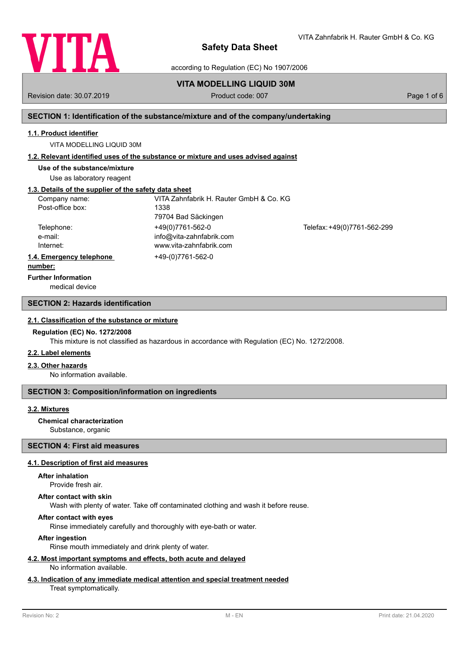

VITA Zahnfabrik H. Rauter GmbH & Co. KG

according to Regulation (EC) No 1907/2006

# **VITA MODELLING LIQUID 30M**

Revision date: 30.07.2019 **Product code: 007** Product code: 007 **Page 1 of 6** Page 1 of 6

# **SECTION 1: Identification of the substance/mixture and of the company/undertaking**

### **1.1. Product identifier**

VITA MODELLING LIQUID 30M

## **1.2. Relevant identified uses of the substance or mixture and uses advised against**

**Use of the substance/mixture**

Use as laboratory reagent

## **1.3. Details of the supplier of the safety data sheet**

| Company name:            | VITA Zahnfabrik H. Rauter GmbH & Co. KG |                             |
|--------------------------|-----------------------------------------|-----------------------------|
| Post-office box:         | 1338                                    |                             |
|                          | 79704 Bad Säckingen                     |                             |
| Telephone:               | +49(0)7761-562-0                        | Telefax: +49(0)7761-562-299 |
| e-mail:                  | info@vita-zahnfabrik.com                |                             |
| Internet:                | www.vita-zahnfabrik.com                 |                             |
| 1.4. Emergency telephone | +49-(0)7761-562-0                       |                             |
| .                        |                                         |                             |

#### **number:**

**Further Information**

medical device

## **SECTION 2: Hazards identification**

#### **2.1. Classification of the substance or mixture**

#### **Regulation (EC) No. 1272/2008**

This mixture is not classified as hazardous in accordance with Regulation (EC) No. 1272/2008.

#### **2.2. Label elements**

### **2.3. Other hazards**

No information available.

### **SECTION 3: Composition/information on ingredients**

## **3.2. Mixtures**

# **Chemical characterization**

Substance, organic

# **SECTION 4: First aid measures**

## **4.1. Description of first aid measures**

### **After inhalation**

Provide fresh air.

#### **After contact with skin**

Wash with plenty of water. Take off contaminated clothing and wash it before reuse.

## **After contact with eyes**

Rinse immediately carefully and thoroughly with eye-bath or water.

## **After ingestion**

Rinse mouth immediately and drink plenty of water.

#### **4.2. Most important symptoms and effects, both acute and delayed** No information available.

# **4.3. Indication of any immediate medical attention and special treatment needed**

### Treat symptomatically.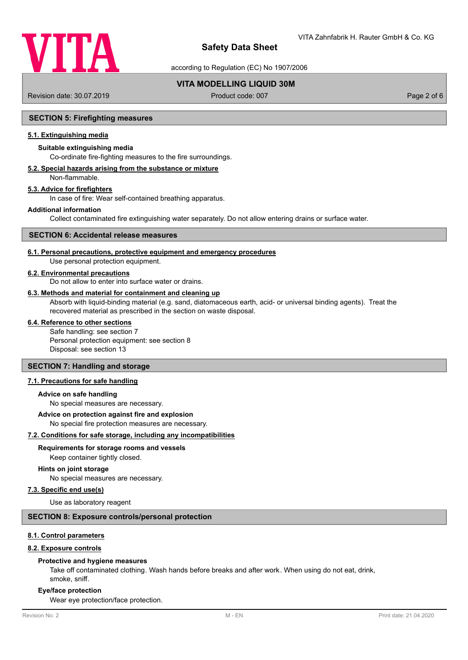

according to Regulation (EC) No 1907/2006

# **VITA MODELLING LIQUID 30M**

Revision date: 30.07.2019 **Product code: 007** Product code: 007 **Page 2 of 6** Page 2 of 6

## **SECTION 5: Firefighting measures**

## **5.1. Extinguishing media**

## **Suitable extinguishing media**

Co-ordinate fire-fighting measures to the fire surroundings.

# **5.2. Special hazards arising from the substance or mixture**

Non-flammable.

# **5.3. Advice for firefighters**

In case of fire: Wear self-contained breathing apparatus.

#### **Additional information**

Collect contaminated fire extinguishing water separately. Do not allow entering drains or surface water.

#### **SECTION 6: Accidental release measures**

#### **6.1. Personal precautions, protective equipment and emergency procedures**

Use personal protection equipment.

#### **6.2. Environmental precautions**

Do not allow to enter into surface water or drains.

#### **6.3. Methods and material for containment and cleaning up**

Absorb with liquid-binding material (e.g. sand, diatomaceous earth, acid- or universal binding agents). Treat the recovered material as prescribed in the section on waste disposal.

#### **6.4. Reference to other sections**

Safe handling: see section 7 Personal protection equipment: see section 8 Disposal: see section 13

# **SECTION 7: Handling and storage**

## **7.1. Precautions for safe handling**

#### **Advice on safe handling**

No special measures are necessary.

#### **Advice on protection against fire and explosion**

No special fire protection measures are necessary.

## **7.2. Conditions for safe storage, including any incompatibilities**

#### **Requirements for storage rooms and vessels**

Keep container tightly closed.

## **Hints on joint storage**

No special measures are necessary.

### **7.3. Specific end use(s)**

Use as laboratory reagent

#### **SECTION 8: Exposure controls/personal protection**

#### **8.1. Control parameters**

#### **8.2. Exposure controls**

#### **Protective and hygiene measures**

Take off contaminated clothing. Wash hands before breaks and after work. When using do not eat, drink, smoke, sniff.

#### **Eye/face protection**

Wear eye protection/face protection.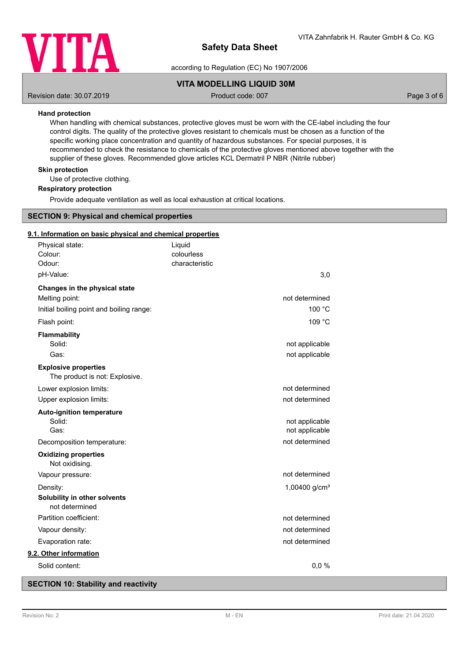

according to Regulation (EC) No 1907/2006

# **VITA MODELLING LIQUID 30M**

Revision date: 30.07.2019 **Product code: 007** Product code: 007 **Page 3 of 6** Page 3 of 6

## **Hand protection**

When handling with chemical substances, protective gloves must be worn with the CE-label including the four control digits. The quality of the protective gloves resistant to chemicals must be chosen as a function of the specific working place concentration and quantity of hazardous substances. For special purposes, it is recommended to check the resistance to chemicals of the protective gloves mentioned above together with the supplier of these gloves. Recommended glove articles KCL Dermatril P NBR (Nitrile rubber)

## **Skin protection**

Use of protective clothing.

#### **Respiratory protection**

Provide adequate ventilation as well as local exhaustion at critical locations.

## **SECTION 9: Physical and chemical properties**

### **9.1. Information on basic physical and chemical properties**

| Physical state:                                |                                          | Liquid                       |                 |  |
|------------------------------------------------|------------------------------------------|------------------------------|-----------------|--|
| Colour:<br>Odour:                              |                                          | colourless<br>characteristic |                 |  |
| pH-Value:                                      |                                          |                              | 3,0             |  |
| Changes in the physical state                  |                                          |                              |                 |  |
| Melting point:                                 |                                          |                              | not determined  |  |
|                                                | Initial boiling point and boiling range: |                              | 100 °C          |  |
| Flash point:                                   |                                          |                              | 109 °C          |  |
| <b>Flammability</b>                            |                                          |                              |                 |  |
| Solid:                                         |                                          |                              | not applicable  |  |
| Gas:                                           |                                          |                              | not applicable  |  |
| <b>Explosive properties</b>                    | The product is not: Explosive.           |                              |                 |  |
| Lower explosion limits:                        |                                          |                              | not determined  |  |
| Upper explosion limits:                        |                                          |                              | not determined  |  |
| <b>Auto-ignition temperature</b>               |                                          |                              |                 |  |
| Solid:                                         |                                          |                              | not applicable  |  |
| Gas:                                           |                                          |                              | not applicable  |  |
| Decomposition temperature:                     |                                          |                              | not determined  |  |
| <b>Oxidizing properties</b><br>Not oxidising.  |                                          |                              |                 |  |
| Vapour pressure:                               |                                          |                              | not determined  |  |
| Density:                                       |                                          |                              | 1,00400 $g/cm3$ |  |
| Solubility in other solvents<br>not determined |                                          |                              |                 |  |
| Partition coefficient:                         |                                          |                              | not determined  |  |
| Vapour density:                                |                                          |                              | not determined  |  |
| Evaporation rate:                              |                                          |                              | not determined  |  |
| 9.2. Other information                         |                                          |                              |                 |  |
| Solid content:                                 |                                          |                              | 0,0%            |  |
|                                                |                                          |                              |                 |  |

## **SECTION 10: Stability and reactivity**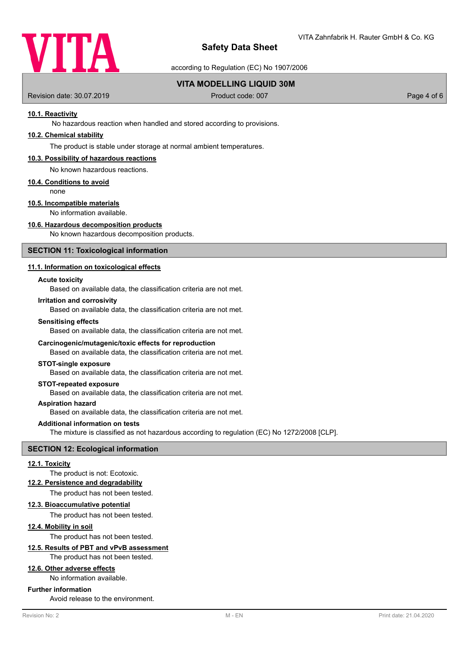

according to Regulation (EC) No 1907/2006

# **VITA MODELLING LIQUID 30M**

Revision date: 30.07.2019 **Product code: 007** Product code: 007 **Page 4 of 6** Page 4 of 6

## **10.1. Reactivity**

No hazardous reaction when handled and stored according to provisions.

# **10.2. Chemical stability**

The product is stable under storage at normal ambient temperatures.

#### **10.3. Possibility of hazardous reactions**

No known hazardous reactions.

#### **10.4. Conditions to avoid**

none

# **10.5. Incompatible materials**

No information available.

# **10.6. Hazardous decomposition products**

No known hazardous decomposition products.

#### **SECTION 11: Toxicological information**

## **11.1. Information on toxicological effects**

#### **Acute toxicity**

Based on available data, the classification criteria are not met.

### **Irritation and corrosivity**

Based on available data, the classification criteria are not met.

#### **Sensitising effects**

Based on available data, the classification criteria are not met.

#### **Carcinogenic/mutagenic/toxic effects for reproduction**

Based on available data, the classification criteria are not met.

#### **STOT-single exposure**

Based on available data, the classification criteria are not met.

## **STOT-repeated exposure**

Based on available data, the classification criteria are not met.

#### **Aspiration hazard**

Based on available data, the classification criteria are not met.

#### **Additional information on tests**

The mixture is classified as not hazardous according to regulation (EC) No 1272/2008 [CLP].

# **SECTION 12: Ecological information**

#### **12.1. Toxicity**

The product is not: Ecotoxic.

#### **12.2. Persistence and degradability**

The product has not been tested.

#### **12.3. Bioaccumulative potential**

The product has not been tested.

#### **12.4. Mobility in soil**

The product has not been tested.

# **12.5. Results of PBT and vPvB assessment**

The product has not been tested.

# **12.6. Other adverse effects**

No information available.

## **Further information**

Avoid release to the environment.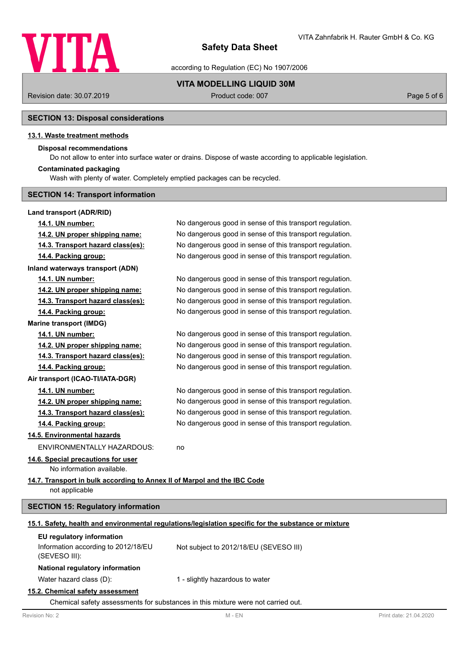

according to Regulation (EC) No 1907/2006

**VITA MODELLING LIQUID 30M**

Revision date: 30.07.2019 **Product code: 007** Product code: 007 **Page 5 of 6** Page 5 of 6

# **SECTION 13: Disposal considerations**

## **13.1. Waste treatment methods**

## **Disposal recommendations**

Do not allow to enter into surface water or drains. Dispose of waste according to applicable legislation.

#### **Contaminated packaging**

Wash with plenty of water. Completely emptied packages can be recycled.

## **SECTION 14: Transport information**

## **Land transport (ADR/RID)**

| 14.1. UN number:                                                                           | No dangerous good in sense of this transport regulation.                                             |
|--------------------------------------------------------------------------------------------|------------------------------------------------------------------------------------------------------|
| 14.2. UN proper shipping name:                                                             | No dangerous good in sense of this transport regulation.                                             |
| 14.3. Transport hazard class(es):                                                          | No dangerous good in sense of this transport regulation.                                             |
| 14.4. Packing group:                                                                       | No dangerous good in sense of this transport regulation.                                             |
| <b>Inland waterways transport (ADN)</b>                                                    |                                                                                                      |
| 14.1. UN number:                                                                           | No dangerous good in sense of this transport regulation.                                             |
| 14.2. UN proper shipping name:                                                             | No dangerous good in sense of this transport regulation.                                             |
| 14.3. Transport hazard class(es):                                                          | No dangerous good in sense of this transport regulation.                                             |
| 14.4. Packing group:                                                                       | No dangerous good in sense of this transport regulation.                                             |
| <b>Marine transport (IMDG)</b>                                                             |                                                                                                      |
| 14.1. UN number:                                                                           | No dangerous good in sense of this transport regulation.                                             |
| 14.2. UN proper shipping name:                                                             | No dangerous good in sense of this transport regulation.                                             |
| 14.3. Transport hazard class(es):                                                          | No dangerous good in sense of this transport regulation.                                             |
| 14.4. Packing group:                                                                       | No dangerous good in sense of this transport regulation.                                             |
| Air transport (ICAO-TI/IATA-DGR)                                                           |                                                                                                      |
| 14.1. UN number:                                                                           | No dangerous good in sense of this transport regulation.                                             |
| 14.2. UN proper shipping name:                                                             | No dangerous good in sense of this transport regulation.                                             |
| 14.3. Transport hazard class(es):                                                          | No dangerous good in sense of this transport regulation.                                             |
| 14.4. Packing group:                                                                       | No dangerous good in sense of this transport regulation.                                             |
| 14.5. Environmental hazards                                                                |                                                                                                      |
| ENVIRONMENTALLY HAZARDOUS:                                                                 | no                                                                                                   |
| 14.6. Special precautions for user<br>No information available.                            |                                                                                                      |
| 14.7. Transport in bulk according to Annex II of Marpol and the IBC Code<br>not applicable |                                                                                                      |
| <b>SECTION 15: Regulatory information</b>                                                  |                                                                                                      |
|                                                                                            | 15.1. Safety, health and environmental regulations/legislation specific for the substance or mixture |
| EU regulatory information<br>Information according to 2012/18/EU<br>(SEVESO III):          | Not subject to 2012/18/EU (SEVESO III)                                                               |
| National regulatory information                                                            |                                                                                                      |
| Water hazard class (D):                                                                    | 1 - slightly hazardous to water                                                                      |
|                                                                                            |                                                                                                      |

# **15.2. Chemical safety assessment**

Chemical safety assessments for substances in this mixture were not carried out.